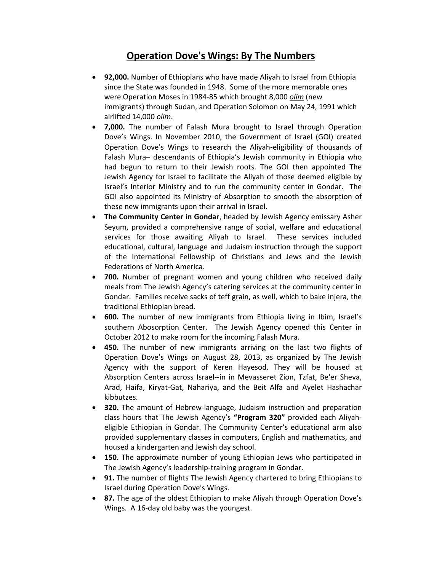## **Operation Dove's Wings: By The Numbers**

- **92,000.** Number of Ethiopians who have made Aliyah to Israel from Ethiopia since the State was founded in 1948. Some of the more memorable ones were Operation Moses in 1984‐85 which brought 8,000 *olim* (new immigrants) through Sudan, and Operation Solomon on May 24, 1991 which airlifted 14,000 *olim*.
- **7,000.** The number of Falash Mura brought to Israel through Operation Dove's Wings. In November 2010, the Government of Israel (GOI) created Operation Dove's Wings to research the Aliyah‐eligibility of thousands of Falash Mura– descendants of Ethiopia's Jewish community in Ethiopia who had begun to return to their Jewish roots. The GOI then appointed The Jewish Agency for Israel to facilitate the Aliyah of those deemed eligible by Israel's Interior Ministry and to run the community center in Gondar. The GOI also appointed its Ministry of Absorption to smooth the absorption of these new immigrants upon their arrival in Israel.
- **The Community Center in Gondar**, headed by Jewish Agency emissary Asher Seyum, provided a comprehensive range of social, welfare and educational services for those awaiting Aliyah to Israel. These services included educational, cultural, language and Judaism instruction through the support of the International Fellowship of Christians and Jews and the Jewish Federations of North America.
- **700.** Number of pregnant women and young children who received daily meals from The Jewish Agency's catering services at the community center in Gondar. Families receive sacks of teff grain, as well, which to bake injera, the traditional Ethiopian bread.
- **600.** The number of new immigrants from Ethiopia living in Ibim, Israel's southern Abosorption Center. The Jewish Agency opened this Center in October 2012 to make room for the incoming Falash Mura.
- **450.** The number of new immigrants arriving on the last two flights of Operation Dove's Wings on August 28, 2013, as organized by The Jewish Agency with the support of Keren Hayesod. They will be housed at Absorption Centers across Israel‐‐in in Mevasseret Zion, Tzfat, Be'er Sheva, Arad, Haifa, Kiryat‐Gat, Nahariya, and the Beit Alfa and Ayelet Hashachar kibbutzes.
- **320.** The amount of Hebrew-language, Judaism instruction and preparation class hours that The Jewish Agency's **"Program 320"** provided each Aliyah‐ eligible Ethiopian in Gondar. The Community Center's educational arm also provided supplementary classes in computers, English and mathematics, and housed a kindergarten and Jewish day school.
- **150.** The approximate number of young Ethiopian Jews who participated in The Jewish Agency's leadership‐training program in Gondar.
- **91.** The number of flights The Jewish Agency chartered to bring Ethiopians to Israel during Operation Dove's Wings.
- **87.** The age of the oldest Ethiopian to make Aliyah through Operation Dove's Wings. A 16‐day old baby was the youngest.